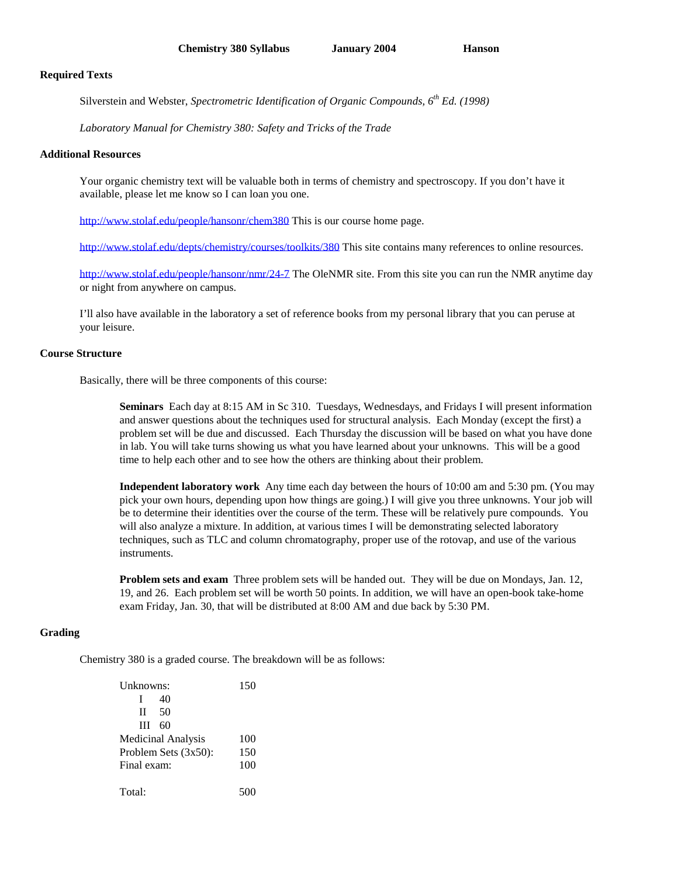#### **Required Texts**

Silverstein and Webster, *Spectrometric Identification of Organic Compounds, 6 th Ed. (1998)*

*Laboratory Manual for Chemistry 380: Safety and Tricks of the Trade*

### **Additional Resources**

Your organic chemistry text will be valuable both in terms of chemistry and spectroscopy. If you don't have it available, please let me know so I can loan you one.

http://www.stolaf.edu/people/hansonr/chem380 This is our course home page.

http://www.stolaf.edu/depts/chemistry/courses/toolkits/380 This site contains many references to online resources.

http://www.stolaf.edu/people/hansonr/nmr/24-7 The OleNMR site. From this site you can run the NMR anytime day or night from anywhere on campus.

I'll also have available in the laboratory a set of reference books from my personal library that you can peruse at your leisure.

## **Course Structure**

Basically, there will be three components of this course:

**Seminars** Each day at 8:15 AM in Sc 310. Tuesdays, Wednesdays, and Fridays I will present information and answer questions about the techniques used for structural analysis. Each Monday (except the first) a problem set will be due and discussed. Each Thursday the discussion will be based on what you have done in lab. You will take turns showing us what you have learned about your unknowns. This will be a good time to help each other and to see how the others are thinking about their problem.

**Independent laboratory work** Any time each day between the hours of 10:00 am and 5:30 pm. (You may pick your own hours, depending upon how things are going.) I will give you three unknowns. Your job will be to determine their identities over the course of the term. These will be relatively pure compounds. You will also analyze a mixture. In addition, at various times I will be demonstrating selected laboratory techniques, such as TLC and column chromatography, proper use of the rotovap, and use of the various instruments.

**Problem sets and exam** Three problem sets will be handed out. They will be due on Mondays, Jan. 12, 19, and 26. Each problem set will be worth 50 points. In addition, we will have an open-book take-home exam Friday, Jan. 30, that will be distributed at 8:00 AM and due back by 5:30 PM.

## **Grading**

Chemistry 380 is a graded course. The breakdown will be as follows:

| Unknowns:                 |     | 150 |
|---------------------------|-----|-----|
| L                         | 40  |     |
| $\mathbf{H}$              | -50 |     |
| $III$ 60                  |     |     |
| <b>Medicinal Analysis</b> |     | 100 |
| Problem Sets $(3x50)$ :   |     | 150 |
| Final exam:               |     | 100 |
|                           |     |     |
| Total:                    |     |     |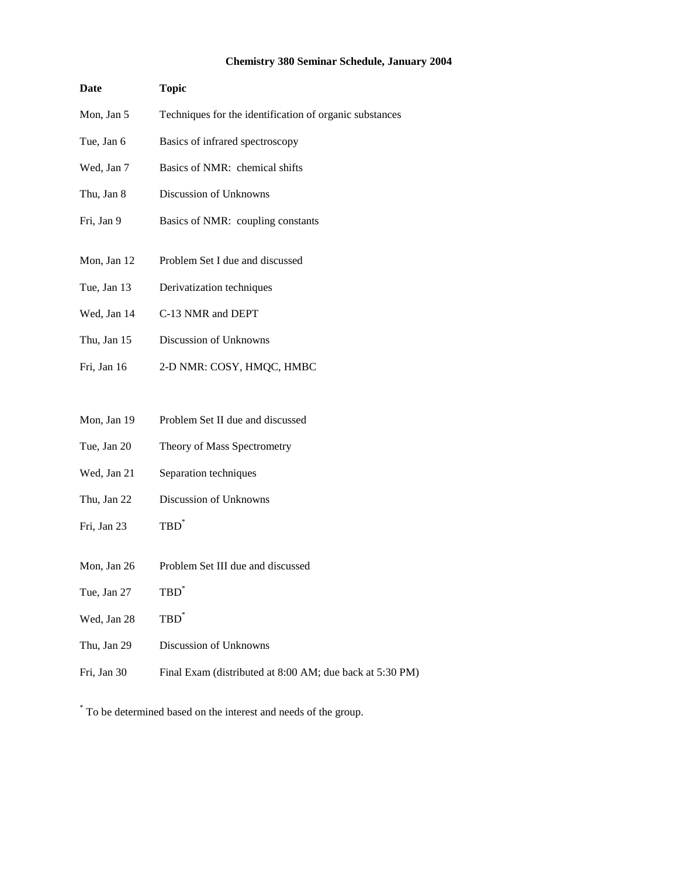# **Chemistry 380 Seminar Schedule, January 2004**

| Date        | <b>Topic</b>                                            |  |
|-------------|---------------------------------------------------------|--|
| Mon, Jan 5  | Techniques for the identification of organic substances |  |
| Tue, Jan 6  | Basics of infrared spectroscopy                         |  |
| Wed, Jan 7  | Basics of NMR: chemical shifts                          |  |
| Thu, Jan 8  | Discussion of Unknowns                                  |  |
| Fri, Jan 9  | Basics of NMR: coupling constants                       |  |
| Mon, Jan 12 | Problem Set I due and discussed                         |  |
|             |                                                         |  |
| Tue, Jan 13 | Derivatization techniques                               |  |
| Wed, Jan 14 | C-13 NMR and DEPT                                       |  |
| Thu, Jan 15 | Discussion of Unknowns                                  |  |
| Fri, Jan 16 | 2-D NMR: COSY, HMQC, HMBC                               |  |
|             |                                                         |  |
| Mon, Jan 19 | Problem Set II due and discussed                        |  |
| Tue, Jan 20 | Theory of Mass Spectrometry                             |  |
| Wed, Jan 21 | Separation techniques                                   |  |
| Thu, Jan 22 | Discussion of Unknowns                                  |  |
| Fri, Jan 23 | $TBD^{\dagger}$                                         |  |
|             |                                                         |  |

- Mon, Jan 26 Problem Set III due and discussed
- Tue, Jan 27  $\mathbf{TBD}^*$
- Wed, Jan 28  $\mathbf{TBD}^*$
- Thu, Jan 29 Discussion of Unknowns
- Fri, Jan 30 Final Exam (distributed at 8:00 AM; due back at 5:30 PM)

\* To be determined based on the interest and needs of the group.